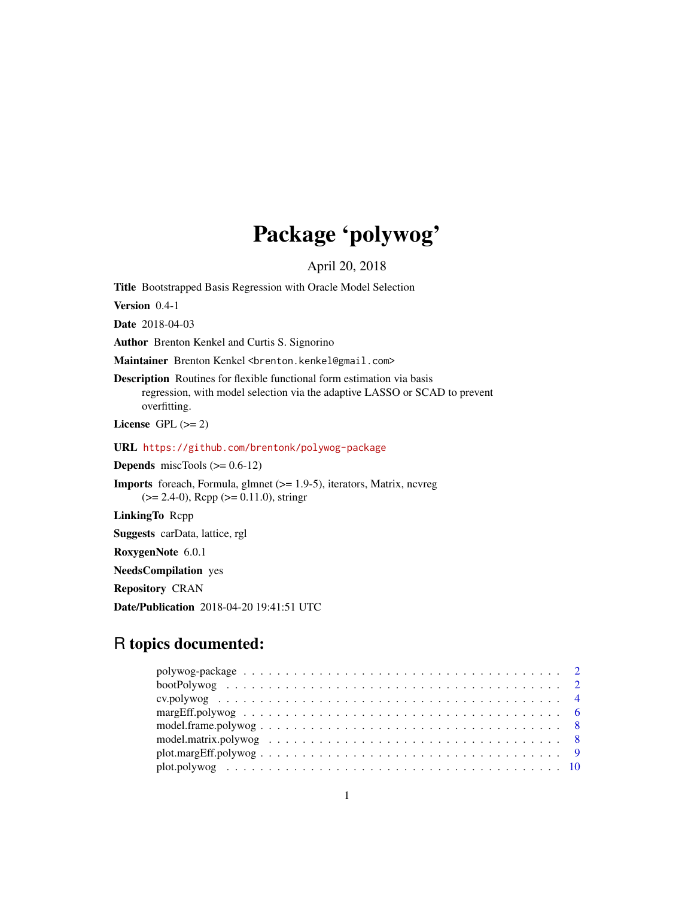# Package 'polywog'

April 20, 2018

<span id="page-0-0"></span>Title Bootstrapped Basis Regression with Oracle Model Selection

Version 0.4-1

Date 2018-04-03

Author Brenton Kenkel and Curtis S. Signorino

Maintainer Brenton Kenkel <br />brenton.kenkel@gmail.com>

Description Routines for flexible functional form estimation via basis regression, with model selection via the adaptive LASSO or SCAD to prevent overfitting.

License GPL  $(>= 2)$ 

URL <https://github.com/brentonk/polywog-package>

**Depends** miscTools  $(>= 0.6-12)$ 

Imports foreach, Formula, glmnet (>= 1.9-5), iterators, Matrix, ncvreg (>= 2.4-0), Rcpp (>= 0.11.0), stringr

LinkingTo Rcpp

Suggests carData, lattice, rgl

RoxygenNote 6.0.1

NeedsCompilation yes

Repository CRAN

Date/Publication 2018-04-20 19:41:51 UTC

# R topics documented:

| $plot.maxgEff.polywog \ldots \ldots \ldots \ldots \ldots \ldots \ldots \ldots \ldots \ldots \ldots 9$ |  |
|-------------------------------------------------------------------------------------------------------|--|
|                                                                                                       |  |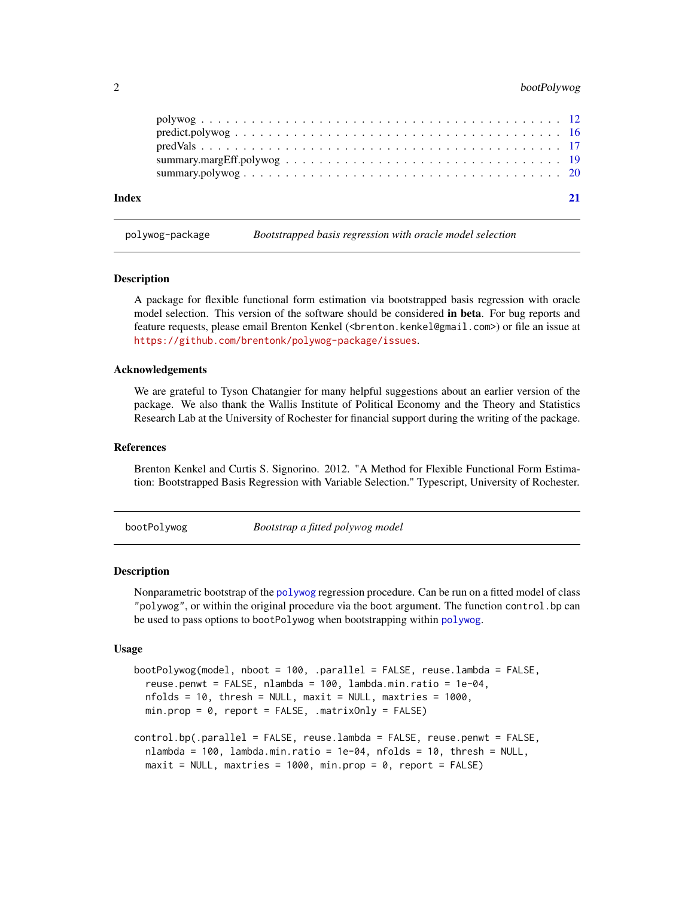# <span id="page-1-0"></span>2 bootPolywog

| Index |  |  |  |  |  |  |  |  |  |  |  |  |  |  |  |  |  |
|-------|--|--|--|--|--|--|--|--|--|--|--|--|--|--|--|--|--|
|       |  |  |  |  |  |  |  |  |  |  |  |  |  |  |  |  |  |
|       |  |  |  |  |  |  |  |  |  |  |  |  |  |  |  |  |  |

polywog-package *Bootstrapped basis regression with oracle model selection*

#### **Description**

A package for flexible functional form estimation via bootstrapped basis regression with oracle model selection. This version of the software should be considered in beta. For bug reports and feature requests, please email Brenton Kenkel (<brenton.kenkel@gmail.com>) or file an issue at <https://github.com/brentonk/polywog-package/issues>.

#### Acknowledgements

We are grateful to Tyson Chatangier for many helpful suggestions about an earlier version of the package. We also thank the Wallis Institute of Political Economy and the Theory and Statistics Research Lab at the University of Rochester for financial support during the writing of the package.

### References

Brenton Kenkel and Curtis S. Signorino. 2012. "A Method for Flexible Functional Form Estimation: Bootstrapped Basis Regression with Variable Selection." Typescript, University of Rochester.

<span id="page-1-1"></span>bootPolywog *Bootstrap a fitted polywog model*

#### <span id="page-1-2"></span>Description

Nonparametric bootstrap of the [polywog](#page-11-1) regression procedure. Can be run on a fitted model of class "polywog", or within the original procedure via the boot argument. The function control.bp can be used to pass options to bootPolywog when bootstrapping within [polywog](#page-11-1).

#### Usage

```
bootPolywog(model, nboot = 100, .parallel = FALSE, reuse.lambda = FALSE,
  reuse.penwt = FALSE, nlambda = 100, lambda.min.ratio = 1e-04,
  nfolds = 10, thresh = NULL, maxit = NULL, maxtries = 1000,
 min.prop = 0, report = FALSE, .matrixOnly = FALSE)
control.bp(.parallel = FALSE, reuse.lambda = FALSE, reuse.penwt = FALSE,
  nlambda = 100, lambda.min.ratio = 1e-04, nfolds = 10, thresh = NULL,
 maxit = NULL, maxtries = 1000, min.prop = 0, report = FALSE)
```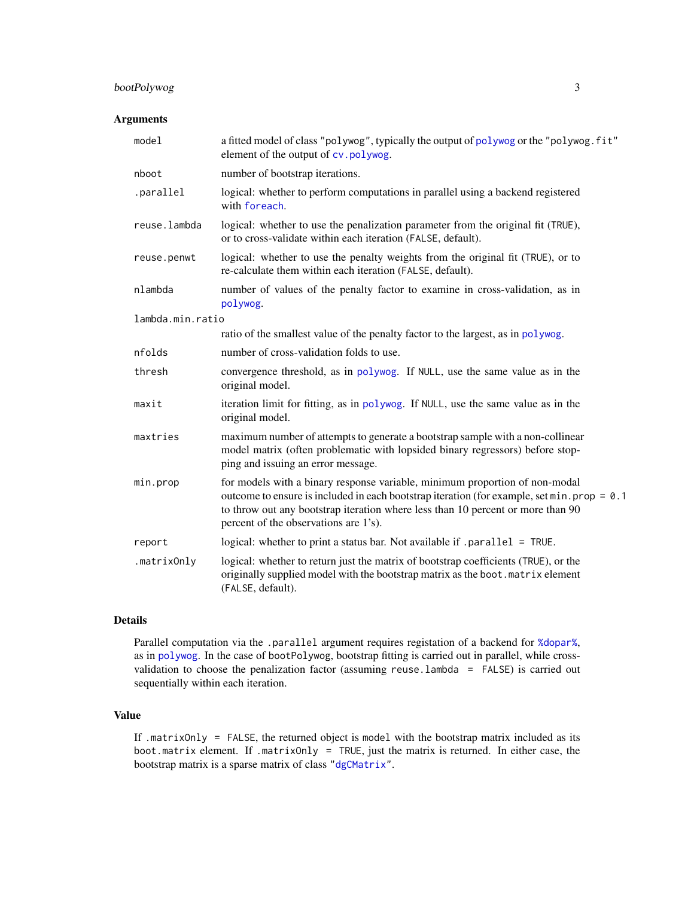# <span id="page-2-0"></span>bootPolywog 3

## Arguments

| model            | a fitted model of class "polywog", typically the output of polywog or the "polywog. fit"<br>element of the output of cv.polywog.                                                                                                                                                                                |
|------------------|-----------------------------------------------------------------------------------------------------------------------------------------------------------------------------------------------------------------------------------------------------------------------------------------------------------------|
| nboot            | number of bootstrap iterations.                                                                                                                                                                                                                                                                                 |
| .parallel        | logical: whether to perform computations in parallel using a backend registered<br>with foreach.                                                                                                                                                                                                                |
| reuse.lambda     | logical: whether to use the penalization parameter from the original fit (TRUE),<br>or to cross-validate within each iteration (FALSE, default).                                                                                                                                                                |
| reuse.penwt      | logical: whether to use the penalty weights from the original fit (TRUE), or to<br>re-calculate them within each iteration (FALSE, default).                                                                                                                                                                    |
| nlambda          | number of values of the penalty factor to examine in cross-validation, as in<br>polywog.                                                                                                                                                                                                                        |
| lambda.min.ratio |                                                                                                                                                                                                                                                                                                                 |
|                  | ratio of the smallest value of the penalty factor to the largest, as in polywog.                                                                                                                                                                                                                                |
| nfolds           | number of cross-validation folds to use.                                                                                                                                                                                                                                                                        |
| thresh           | convergence threshold, as in polywog. If NULL, use the same value as in the<br>original model.                                                                                                                                                                                                                  |
| maxit            | iteration limit for fitting, as in polywog. If NULL, use the same value as in the<br>original model.                                                                                                                                                                                                            |
| maxtries         | maximum number of attempts to generate a bootstrap sample with a non-collinear<br>model matrix (often problematic with lopsided binary regressors) before stop-<br>ping and issuing an error message.                                                                                                           |
| min.prop         | for models with a binary response variable, minimum proportion of non-modal<br>outcome to ensure is included in each bootstrap iteration (for example, set min. prop = $\theta$ . 1<br>to throw out any bootstrap iteration where less than 10 percent or more than 90<br>percent of the observations are 1's). |
| report           | logical: whether to print a status bar. Not available if .parallel = TRUE.                                                                                                                                                                                                                                      |
| .matrixOnly      | logical: whether to return just the matrix of bootstrap coefficients (TRUE), or the<br>originally supplied model with the bootstrap matrix as the boot. matrix element<br>(FALSE, default).                                                                                                                     |

# Details

Parallel computation via the .parallel argument requires registation of a backend for [%dopar%](#page-0-0), as in [polywog](#page-11-1). In the case of bootPolywog, bootstrap fitting is carried out in parallel, while crossvalidation to choose the penalization factor (assuming reuse.lambda = FALSE) is carried out sequentially within each iteration.

# Value

If .matrixOnly = FALSE, the returned object is model with the bootstrap matrix included as its boot.matrix element. If .matrixOnly = TRUE, just the matrix is returned. In either case, the bootstrap matrix is a sparse matrix of class ["dgCMatrix"](#page-0-0).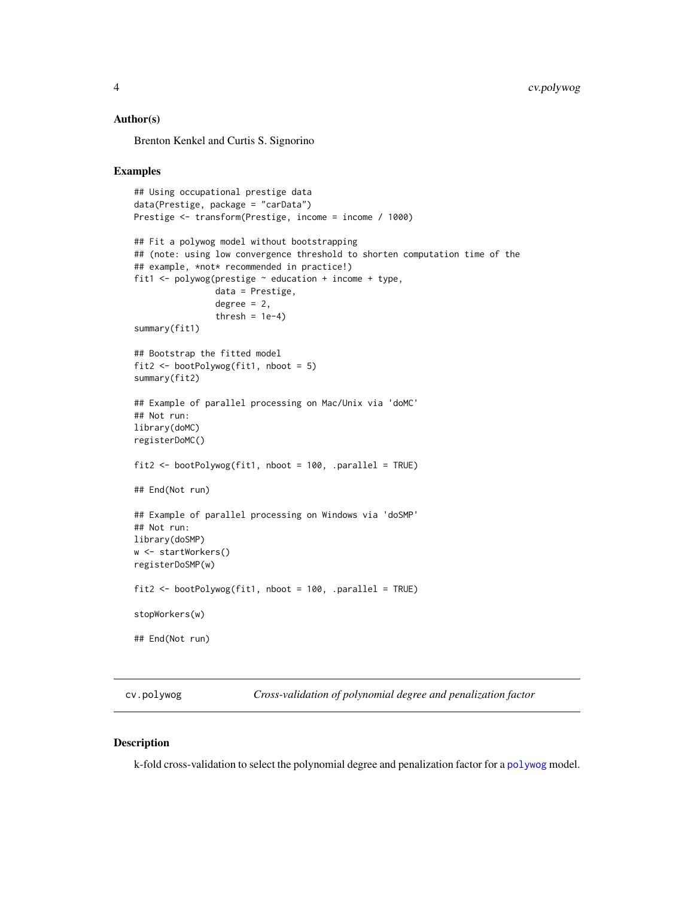#### <span id="page-3-0"></span>Author(s)

Brenton Kenkel and Curtis S. Signorino

#### Examples

```
## Using occupational prestige data
data(Prestige, package = "carData")
Prestige <- transform(Prestige, income = income / 1000)
## Fit a polywog model without bootstrapping
## (note: using low convergence threshold to shorten computation time of the
## example, *not* recommended in practice!)
fit1 <- polywog(prestige ~ education + income + type,
                data = Prestige,
                degree = 2,
                thresh = 1e-4)
summary(fit1)
## Bootstrap the fitted model
fit2 <- bootPolywog(fit1, nboot = 5)
summary(fit2)
## Example of parallel processing on Mac/Unix via 'doMC'
## Not run:
library(doMC)
registerDoMC()
fit2 <- bootPolywog(fit1, nboot = 100, .parallel = TRUE)
## End(Not run)
## Example of parallel processing on Windows via 'doSMP'
## Not run:
library(doSMP)
w <- startWorkers()
registerDoSMP(w)
fit2 <- bootPolywog(fit1, nboot = 100, .parallel = TRUE)
stopWorkers(w)
## End(Not run)
```
<span id="page-3-1"></span>cv.polywog *Cross-validation of polynomial degree and penalization factor*

### Description

k-fold cross-validation to select the polynomial degree and penalization factor for a [polywog](#page-11-1) model.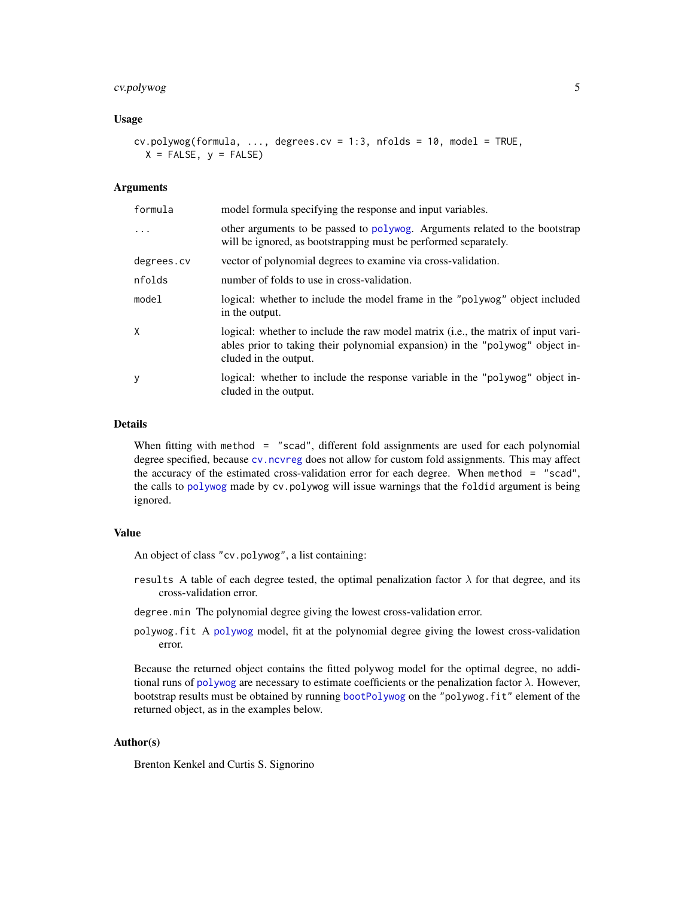# <span id="page-4-0"></span>cv.polywog 5

#### Usage

 $cv.polywog(formula, ..., degrees.cv = 1:3, nfolds = 10, model = TRUE,$  $X = FALSE, y = FALSE)$ 

#### Arguments

| formula    | model formula specifying the response and input variables.                                                                                                                                  |
|------------|---------------------------------------------------------------------------------------------------------------------------------------------------------------------------------------------|
| $\ddots$   | other arguments to be passed to polywog. Arguments related to the bootstrap<br>will be ignored, as bootstrapping must be performed separately.                                              |
| degrees.cv | vector of polynomial degrees to examine via cross-validation.                                                                                                                               |
| nfolds     | number of folds to use in cross-validation.                                                                                                                                                 |
| model      | logical: whether to include the model frame in the "polywog" object included<br>in the output.                                                                                              |
| Χ          | logical: whether to include the raw model matrix (i.e., the matrix of input vari-<br>ables prior to taking their polynomial expansion) in the "polywog" object in-<br>cluded in the output. |
| у          | logical: whether to include the response variable in the "polywog" object in-<br>cluded in the output.                                                                                      |

#### Details

When fitting with method = "scad", different fold assignments are used for each polynomial degree specified, because [cv.ncvreg](#page-0-0) does not allow for custom fold assignments. This may affect the accuracy of the estimated cross-validation error for each degree. When method = "scad", the calls to [polywog](#page-11-1) made by cv.polywog will issue warnings that the foldid argument is being ignored.

# Value

An object of class "cv.polywog", a list containing:

- results A table of each degree tested, the optimal penalization factor  $\lambda$  for that degree, and its cross-validation error.
- degree.min The polynomial degree giving the lowest cross-validation error.
- polywog.fit A [polywog](#page-11-1) model, fit at the polynomial degree giving the lowest cross-validation error.

Because the returned object contains the fitted polywog model for the optimal degree, no additional runs of [polywog](#page-11-1) are necessary to estimate coefficients or the penalization factor  $\lambda$ . However, bootstrap results must be obtained by running [bootPolywog](#page-1-1) on the "polywog.fit" element of the returned object, as in the examples below.

# Author(s)

Brenton Kenkel and Curtis S. Signorino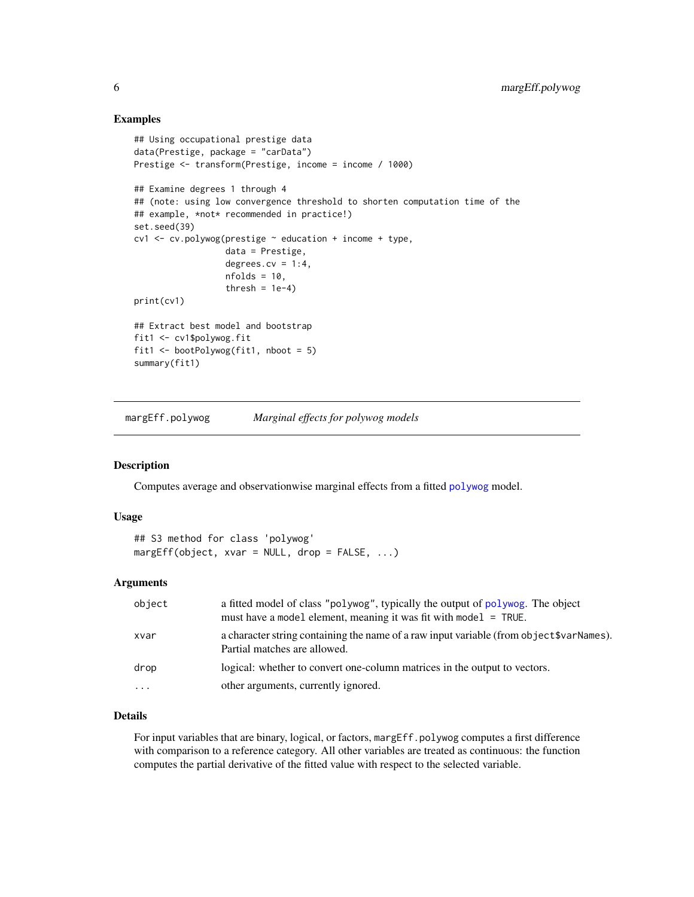#### Examples

```
## Using occupational prestige data
data(Prestige, package = "carData")
Prestige <- transform(Prestige, income = income / 1000)
## Examine degrees 1 through 4
## (note: using low convergence threshold to shorten computation time of the
## example, *not* recommended in practice!)
set.seed(39)
cv1 \leq cv.polywog(prestige \sim education + income + type,
                  data = Prestige,
                  degrees.cv = 1:4,
                  nfolds = 10,thresh = 1e-4)
print(cv1)
## Extract best model and bootstrap
fit1 <- cv1$polywog.fit
fit1 <- bootPolywog(fit1, nboot = 5)
summary(fit1)
```
<span id="page-5-1"></span>margEff.polywog *Marginal effects for polywog models*

## Description

Computes average and observationwise marginal effects from a fitted [polywog](#page-11-1) model.

#### Usage

```
## S3 method for class 'polywog'
margEff(object, xvar = NULL, drop = FALSE, ...)
```
# Arguments

| object   | a fitted model of class "polywog", typically the output of polywog. The object<br>must have a model element, meaning it was fit with model = TRUE. |
|----------|----------------------------------------------------------------------------------------------------------------------------------------------------|
| xvar     | a character string containing the name of a raw input variable (from object \$varNames).<br>Partial matches are allowed.                           |
| drop     | logical: whether to convert one-column matrices in the output to vectors.                                                                          |
| $\cdots$ | other arguments, currently ignored.                                                                                                                |

# Details

For input variables that are binary, logical, or factors, margEff.polywog computes a first difference with comparison to a reference category. All other variables are treated as continuous: the function computes the partial derivative of the fitted value with respect to the selected variable.

<span id="page-5-0"></span>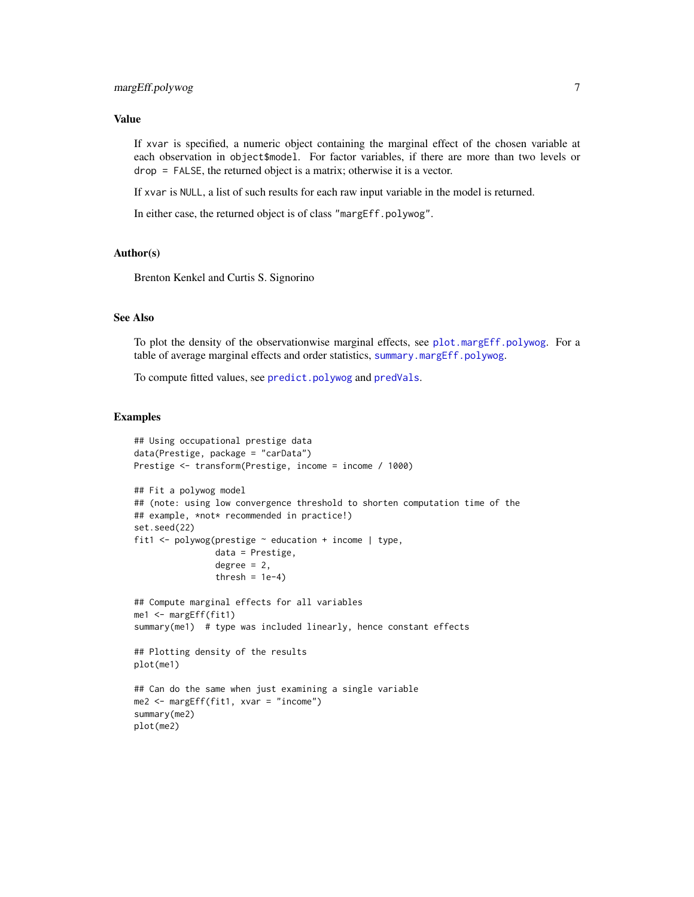#### <span id="page-6-0"></span>Value

If xvar is specified, a numeric object containing the marginal effect of the chosen variable at each observation in object\$model. For factor variables, if there are more than two levels or drop = FALSE, the returned object is a matrix; otherwise it is a vector.

If xvar is NULL, a list of such results for each raw input variable in the model is returned.

In either case, the returned object is of class "margEff.polywog".

#### Author(s)

Brenton Kenkel and Curtis S. Signorino

### See Also

To plot the density of the observationwise marginal effects, see [plot.margEff.polywog](#page-8-1). For a table of average marginal effects and order statistics, [summary.margEff.polywog](#page-18-1).

To compute fitted values, see [predict.polywog](#page-15-1) and [predVals](#page-16-1).

# Examples

```
## Using occupational prestige data
data(Prestige, package = "carData")
Prestige <- transform(Prestige, income = income / 1000)
## Fit a polywog model
## (note: using low convergence threshold to shorten computation time of the
## example, *not* recommended in practice!)
set.seed(22)
fit1 <- polywog(prestige \sim education + income | type,
                data = Prestige,
                degree = 2,
                thresh = 1e-4)
## Compute marginal effects for all variables
me1 <- margEff(fit1)
summary(me1) # type was included linearly, hence constant effects
## Plotting density of the results
plot(me1)
## Can do the same when just examining a single variable
me2 <- margEff(fit1, xvar = "income")
summary(me2)
plot(me2)
```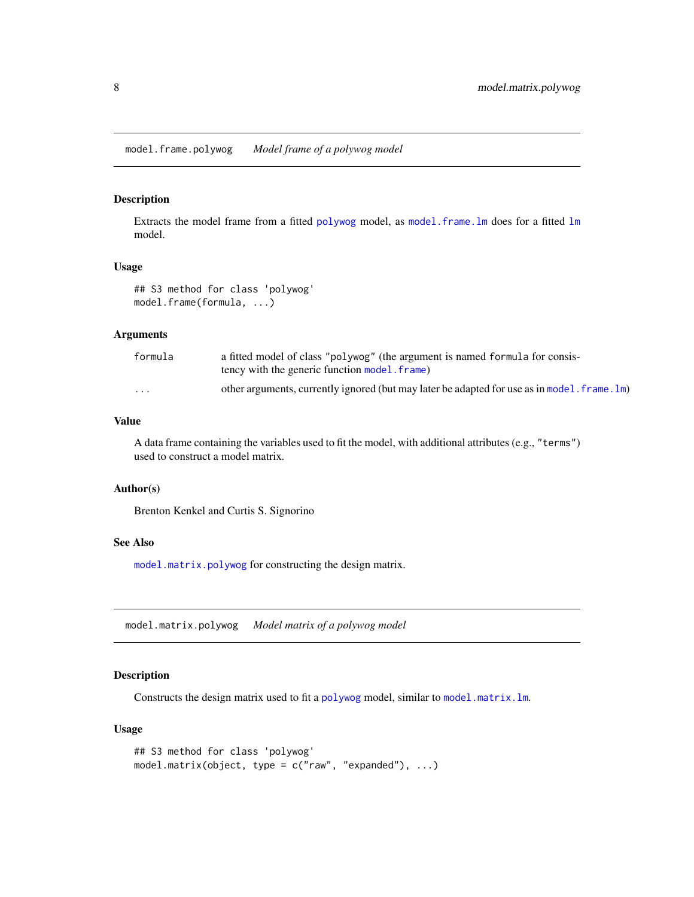<span id="page-7-0"></span>Extracts the model frame from a fitted [polywog](#page-11-1) model, as [model.frame.lm](#page-0-0) does for a fitted  $\text{lm}$  $\text{lm}$  $\text{lm}$ model.

# Usage

```
## S3 method for class 'polywog'
model.frame(formula, ...)
```
#### Arguments

| formula                 | a fitted model of class "polywog" (the argument is named formula for consis-<br>tency with the generic function model, frame) |
|-------------------------|-------------------------------------------------------------------------------------------------------------------------------|
| $\cdot$ $\cdot$ $\cdot$ | other arguments, currently ignored (but may later be adapted for use as in model. frame. 1m)                                  |

#### Value

A data frame containing the variables used to fit the model, with additional attributes (e.g., "terms") used to construct a model matrix.

#### Author(s)

Brenton Kenkel and Curtis S. Signorino

#### See Also

[model.matrix.polywog](#page-7-1) for constructing the design matrix.

<span id="page-7-1"></span>model.matrix.polywog *Model matrix of a polywog model*

# Description

Constructs the design matrix used to fit a [polywog](#page-11-1) model, similar to [model.matrix.lm](#page-0-0).

# Usage

```
## S3 method for class 'polywog'
model.matrix(object, type = c("raw", "expanded"), ...)
```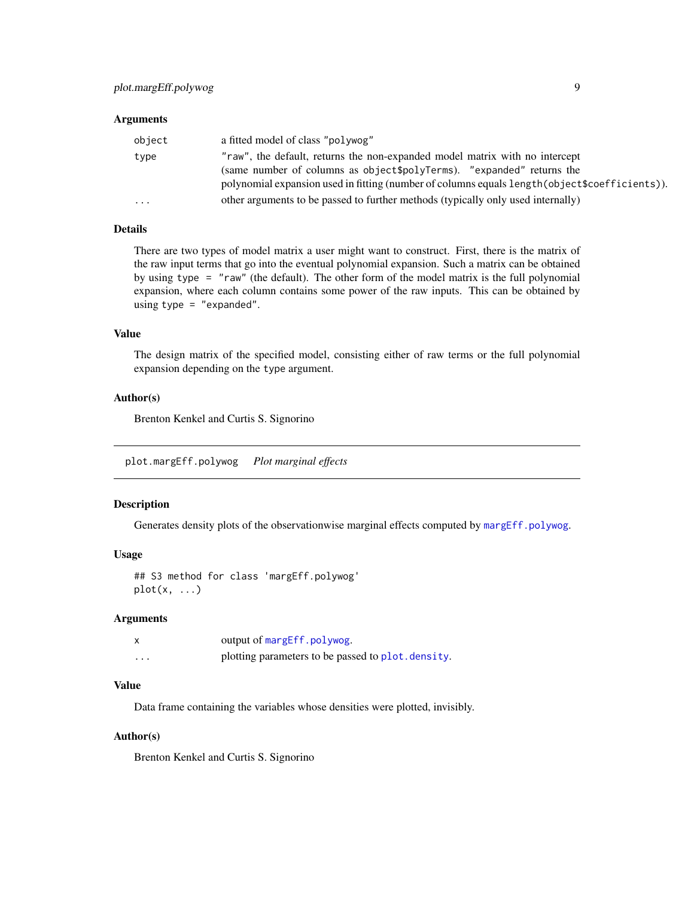#### <span id="page-8-0"></span>**Arguments**

| object    | a fitted model of class "polywog"                                                                                                                                                                                                                       |
|-----------|---------------------------------------------------------------------------------------------------------------------------------------------------------------------------------------------------------------------------------------------------------|
| type      | "raw", the default, returns the non-expanded model matrix with no intercept<br>(same number of columns as object\$polyTerms). "expanded" returns the<br>polynomial expansion used in fitting (number of columns equals length (object \$coefficients)). |
| $\ddotsc$ | other arguments to be passed to further methods (typically only used internally)                                                                                                                                                                        |

#### Details

There are two types of model matrix a user might want to construct. First, there is the matrix of the raw input terms that go into the eventual polynomial expansion. Such a matrix can be obtained by using type = "raw" (the default). The other form of the model matrix is the full polynomial expansion, where each column contains some power of the raw inputs. This can be obtained by using type = "expanded".

#### Value

The design matrix of the specified model, consisting either of raw terms or the full polynomial expansion depending on the type argument.

# Author(s)

Brenton Kenkel and Curtis S. Signorino

<span id="page-8-1"></span>plot.margEff.polywog *Plot marginal effects*

#### Description

Generates density plots of the observationwise marginal effects computed by [margEff.polywog](#page-5-1).

#### Usage

```
## S3 method for class 'margEff.polywog'
plot(x, \ldots)
```
#### Arguments

|         | output of margEff.polywog.                         |
|---------|----------------------------------------------------|
| $\cdot$ | plotting parameters to be passed to plot. density. |

# Value

Data frame containing the variables whose densities were plotted, invisibly.

# Author(s)

Brenton Kenkel and Curtis S. Signorino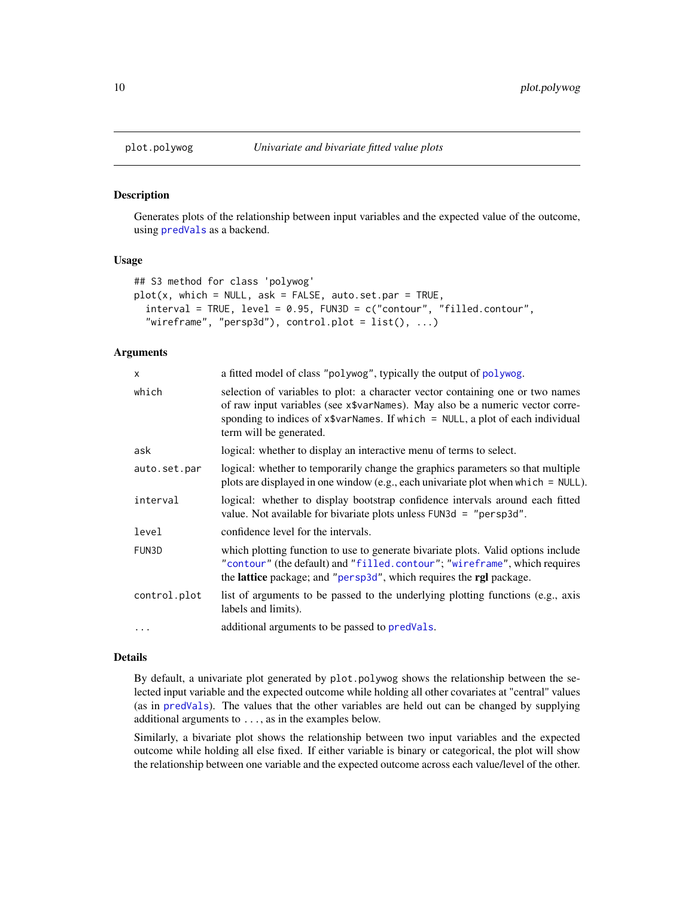Generates plots of the relationship between input variables and the expected value of the outcome, using [predVals](#page-16-1) as a backend.

# Usage

```
## S3 method for class 'polywog'
plot(x, which = NULL, ask = FALSE, auto.setpar = TRUE,interval = TRUE, level = 0.95, FUN3D = c("contour", "filled.contour","wireframe", "persp3d"), control.plot = list(), ...)
```
#### Arguments

| x            | a fitted model of class "polywog", typically the output of polywog.                                                                                                                                                                                                            |
|--------------|--------------------------------------------------------------------------------------------------------------------------------------------------------------------------------------------------------------------------------------------------------------------------------|
| which        | selection of variables to plot: a character vector containing one or two names<br>of raw input variables (see x\$varNames). May also be a numeric vector corre-<br>sponding to indices of $x\$ varNames. If which = NULL, a plot of each individual<br>term will be generated. |
| ask          | logical: whether to display an interactive menu of terms to select.                                                                                                                                                                                                            |
| auto.set.par | logical: whether to temporarily change the graphics parameters so that multiple<br>plots are displayed in one window (e.g., each univariate plot when which $=$ NULL).                                                                                                         |
| interval     | logical: whether to display bootstrap confidence intervals around each fitted<br>value. Not available for bivariate plots unless FUN3d = "persp3d".                                                                                                                            |
| level        | confidence level for the intervals.                                                                                                                                                                                                                                            |
| FUN3D        | which plotting function to use to generate bivariate plots. Valid options include<br>"contour" (the default) and "filled.contour"; "wireframe", which requires<br>the lattice package; and "persp3d", which requires the rgl package.                                          |
| control.plot | list of arguments to be passed to the underlying plotting functions (e.g., axis<br>labels and limits).                                                                                                                                                                         |
| .            | additional arguments to be passed to predvals.                                                                                                                                                                                                                                 |
|              |                                                                                                                                                                                                                                                                                |

#### Details

By default, a univariate plot generated by plot.polywog shows the relationship between the selected input variable and the expected outcome while holding all other covariates at "central" values (as in [predVals](#page-16-1)). The values that the other variables are held out can be changed by supplying additional arguments to ..., as in the examples below.

Similarly, a bivariate plot shows the relationship between two input variables and the expected outcome while holding all else fixed. If either variable is binary or categorical, the plot will show the relationship between one variable and the expected outcome across each value/level of the other.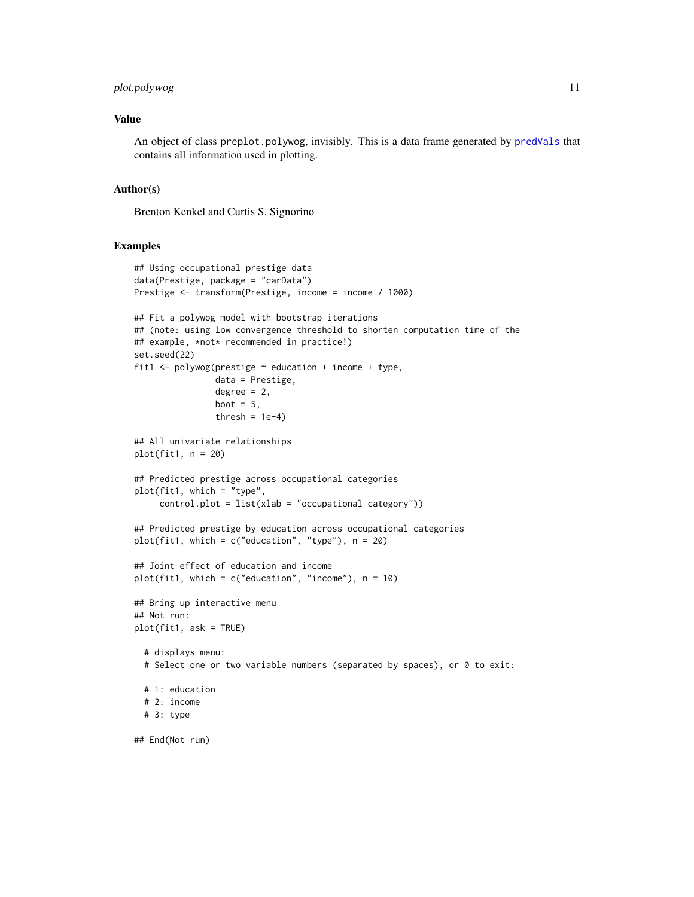# <span id="page-10-0"></span>plot.polywog 11

#### Value

An object of class preplot.polywog, invisibly. This is a data frame generated by [predVals](#page-16-1) that contains all information used in plotting.

#### Author(s)

Brenton Kenkel and Curtis S. Signorino

#### Examples

```
## Using occupational prestige data
data(Prestige, package = "carData")
Prestige <- transform(Prestige, income = income / 1000)
## Fit a polywog model with bootstrap iterations
## (note: using low convergence threshold to shorten computation time of the
## example, *not* recommended in practice!)
set.seed(22)
fit1 <- polywog(prestige \sim education + income + type,
                data = Prestige,
                degree = 2,
                boot = 5,
                thresh = 1e-4)
## All univariate relationships
plot(fit1, n = 20)## Predicted prestige across occupational categories
plot(fit1, which = "type",
     control.plot = list(xlab = "occupational category"))
## Predicted prestige by education across occupational categories
plot(fit1, which = c("education", "type"), n = 20)
## Joint effect of education and income
plot(fit1, which = c("education", "income"), n = 10)## Bring up interactive menu
## Not run:
plot(fit1, ask = TRUE)
  # displays menu:
  # Select one or two variable numbers (separated by spaces), or 0 to exit:
  # 1: education
  # 2: income
  # 3: type
## End(Not run)
```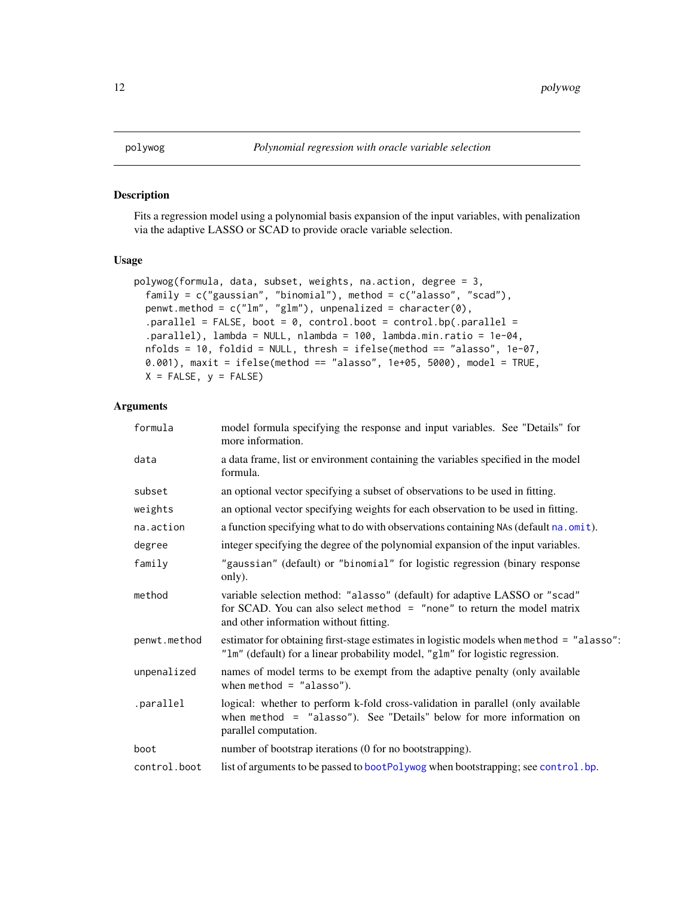<span id="page-11-1"></span><span id="page-11-0"></span>Fits a regression model using a polynomial basis expansion of the input variables, with penalization via the adaptive LASSO or SCAD to provide oracle variable selection.

# Usage

```
polywog(formula, data, subset, weights, na.action, degree = 3,
  family = c("gaussian", "binomial"), method = <math>c("alasso", "scad"),penwt.method = c("lm", "glm"), unpenalized = character(0),
  .parallel = FALSE, boot = 0, control.boot = control.bp(.parallel =
  .parallel), lambda = NULL, nlambda = 100, lambda.min.ratio = 1e-04,
 nfolds = 10, foldid = NULL, thresh = ifelse(method == "alasso", 1e-07,
  0.001), maxit = ifelse(method == "alasso", 1e+05, 5000), model = TRUE,
 X = FALSE, y = FALSE)
```
#### Arguments

| formula      | model formula specifying the response and input variables. See "Details" for<br>more information.                                                                                                  |
|--------------|----------------------------------------------------------------------------------------------------------------------------------------------------------------------------------------------------|
| data         | a data frame, list or environment containing the variables specified in the model<br>formula.                                                                                                      |
| subset       | an optional vector specifying a subset of observations to be used in fitting.                                                                                                                      |
| weights      | an optional vector specifying weights for each observation to be used in fitting.                                                                                                                  |
| na.action    | a function specifying what to do with observations containing NAs (default na. omit).                                                                                                              |
| degree       | integer specifying the degree of the polynomial expansion of the input variables.                                                                                                                  |
| family       | "gaussian" (default) or "binomial" for logistic regression (binary response<br>only).                                                                                                              |
| method       | variable selection method: "alasso" (default) for adaptive LASSO or "scad"<br>for SCAD. You can also select method $=$ "none" to return the model matrix<br>and other information without fitting. |
| penwt.method | estimator for obtaining first-stage estimates in logistic models when method = "alasso":<br>"lm" (default) for a linear probability model, "glm" for logistic regression.                          |
| unpenalized  | names of model terms to be exempt from the adaptive penalty (only available<br>when method = $"alasso"$ ).                                                                                         |
| .parallel    | logical: whether to perform k-fold cross-validation in parallel (only available<br>when $method = "alasso")$ . See "Details" below for more information on<br>parallel computation.                |
| boot         | number of bootstrap iterations (0 for no bootstrapping).                                                                                                                                           |
| control.boot | list of arguments to be passed to bootPolywog when bootstrapping; see control.bp.                                                                                                                  |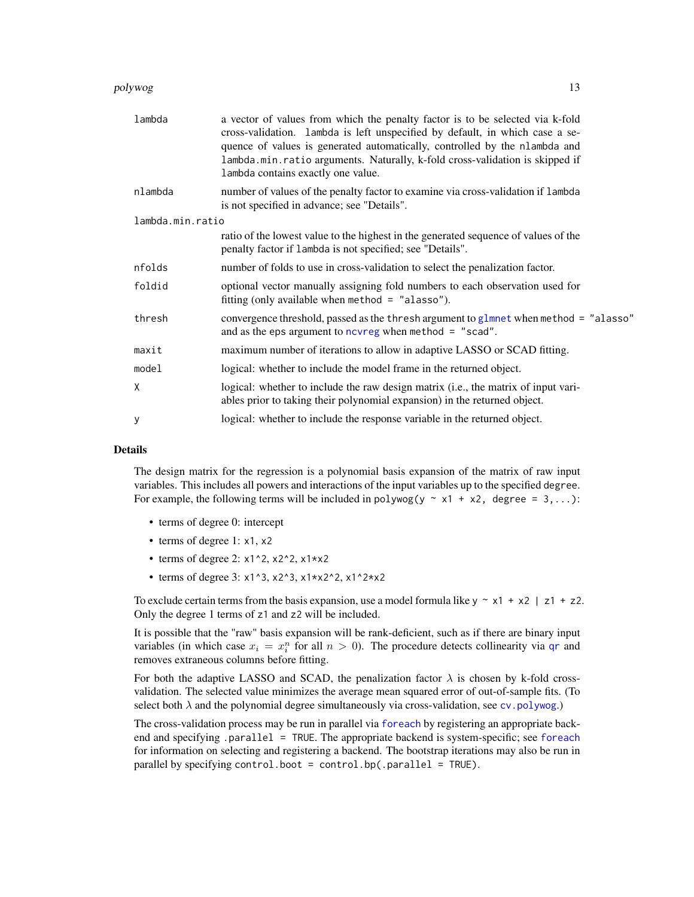#### <span id="page-12-0"></span>polywog the contract of the contract of the contract of the contract of the contract of the contract of the contract of the contract of the contract of the contract of the contract of the contract of the contract of the co

| lambda           | a vector of values from which the penalty factor is to be selected via k-fold<br>cross-validation. lambda is left unspecified by default, in which case a se-<br>quence of values is generated automatically, controlled by the nlambda and<br>lambda.min.ratio arguments. Naturally, k-fold cross-validation is skipped if<br>lambda contains exactly one value. |
|------------------|-------------------------------------------------------------------------------------------------------------------------------------------------------------------------------------------------------------------------------------------------------------------------------------------------------------------------------------------------------------------|
| nlambda          | number of values of the penalty factor to examine via cross-validation if lambda<br>is not specified in advance; see "Details".                                                                                                                                                                                                                                   |
| lambda.min.ratio |                                                                                                                                                                                                                                                                                                                                                                   |
|                  | ratio of the lowest value to the highest in the generated sequence of values of the<br>penalty factor if lambda is not specified; see "Details".                                                                                                                                                                                                                  |
| nfolds           | number of folds to use in cross-validation to select the penalization factor.                                                                                                                                                                                                                                                                                     |
| foldid           | optional vector manually assigning fold numbers to each observation used for<br>fitting (only available when method = $"alasso"$ ).                                                                                                                                                                                                                               |
| thresh           | convergence threshold, passed as the thresh argument to glmnet when method = "alasso"<br>and as the eps argument to no $n \times n$ when method = "scad".                                                                                                                                                                                                         |
| maxit            | maximum number of iterations to allow in adaptive LASSO or SCAD fitting.                                                                                                                                                                                                                                                                                          |
| model            | logical: whether to include the model frame in the returned object.                                                                                                                                                                                                                                                                                               |
| X                | logical: whether to include the raw design matrix (i.e., the matrix of input vari-<br>ables prior to taking their polynomial expansion) in the returned object.                                                                                                                                                                                                   |
| y                | logical: whether to include the response variable in the returned object.                                                                                                                                                                                                                                                                                         |
|                  |                                                                                                                                                                                                                                                                                                                                                                   |

### Details

The design matrix for the regression is a polynomial basis expansion of the matrix of raw input variables. This includes all powers and interactions of the input variables up to the specified degree. For example, the following terms will be included in polywog(y  $\sim x1 + x2$ , degree = 3,...):

- terms of degree 0: intercept
- terms of degree 1: x1, x2
- terms of degree 2:  $x1^2$ ,  $x2^2$ ,  $x1*x$
- terms of degree 3:  $x1^3$ ,  $x2^3$ ,  $x1*x2^2$ ,  $x1^2*x2$

To exclude certain terms from the basis expansion, use a model formula like  $y \sim x1 + x2$  | z1 + z2. Only the degree 1 terms of z1 and z2 will be included.

It is possible that the "raw" basis expansion will be rank-deficient, such as if there are binary input variables (in which case  $x_i = x_i^n$  for all  $n > 0$ ). The procedure detects collinearity via [qr](#page-0-0) and removes extraneous columns before fitting.

For both the adaptive LASSO and SCAD, the penalization factor  $\lambda$  is chosen by k-fold crossvalidation. The selected value minimizes the average mean squared error of out-of-sample fits. (To select both  $\lambda$  and the polynomial degree simultaneously via cross-validation, see [cv.polywog](#page-3-1).)

The cross-validation process may be run in parallel via [foreach](#page-0-0) by registering an appropriate backend and specifying .parallel = TRUE. The appropriate backend is system-specific; see [foreach](#page-0-0) for information on selecting and registering a backend. The bootstrap iterations may also be run in parallel by specifying control.boot = control.bp(.parallel = TRUE).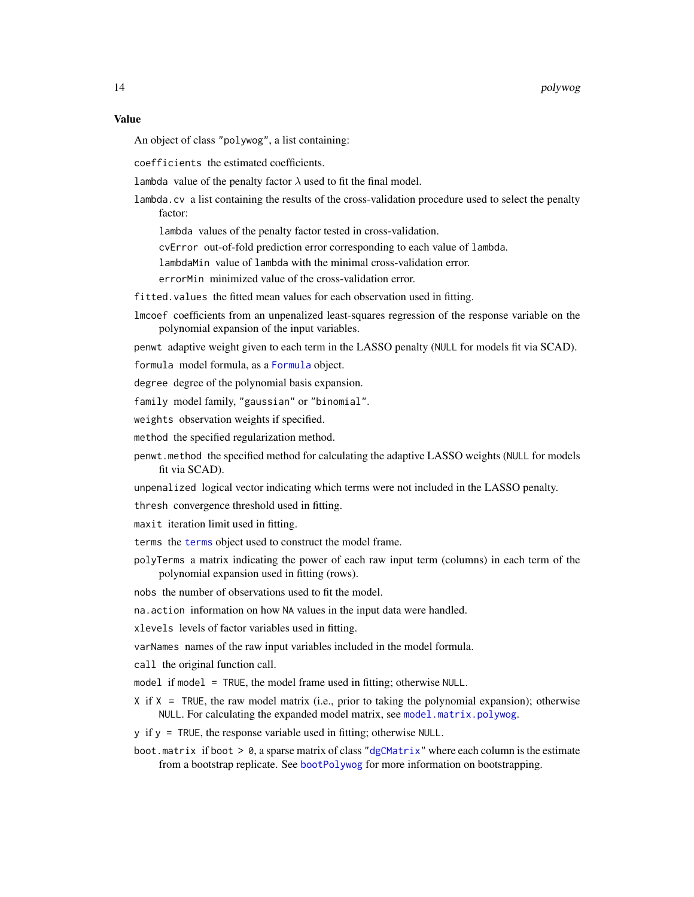#### <span id="page-13-0"></span>Value

An object of class "polywog", a list containing:

coefficients the estimated coefficients.

lambda value of the penalty factor  $\lambda$  used to fit the final model.

- lambda.cv a list containing the results of the cross-validation procedure used to select the penalty factor:
	- lambda values of the penalty factor tested in cross-validation.
	- cvError out-of-fold prediction error corresponding to each value of lambda.
	- lambdaMin value of lambda with the minimal cross-validation error.
	- errorMin minimized value of the cross-validation error.
- fitted.values the fitted mean values for each observation used in fitting.
- lmcoef coefficients from an unpenalized least-squares regression of the response variable on the polynomial expansion of the input variables.

penwt adaptive weight given to each term in the LASSO penalty (NULL for models fit via SCAD).

formula model formula, as a [Formula](#page-0-0) object.

degree degree of the polynomial basis expansion.

family model family, "gaussian" or "binomial".

- weights observation weights if specified.
- method the specified regularization method.
- penwt.method the specified method for calculating the adaptive LASSO weights (NULL for models fit via SCAD).
- unpenalized logical vector indicating which terms were not included in the LASSO penalty.
- thresh convergence threshold used in fitting.
- maxit iteration limit used in fitting.
- terms the [terms](#page-0-0) object used to construct the model frame.
- polyTerms a matrix indicating the power of each raw input term (columns) in each term of the polynomial expansion used in fitting (rows).

nobs the number of observations used to fit the model.

na.action information on how NA values in the input data were handled.

xlevels levels of factor variables used in fitting.

varNames names of the raw input variables included in the model formula.

- call the original function call.
- model if model = TRUE, the model frame used in fitting; otherwise NULL.
- X if X = TRUE, the raw model matrix (i.e., prior to taking the polynomial expansion); otherwise NULL. For calculating the expanded model matrix, see [model.matrix.polywog](#page-7-1).
- y if y = TRUE, the response variable used in fitting; otherwise NULL.
- boot.matrix if boot  $> 0$ , a sparse matrix of class ["dgCMatrix"](#page-0-0) where each column is the estimate from a bootstrap replicate. See [bootPolywog](#page-1-1) for more information on bootstrapping.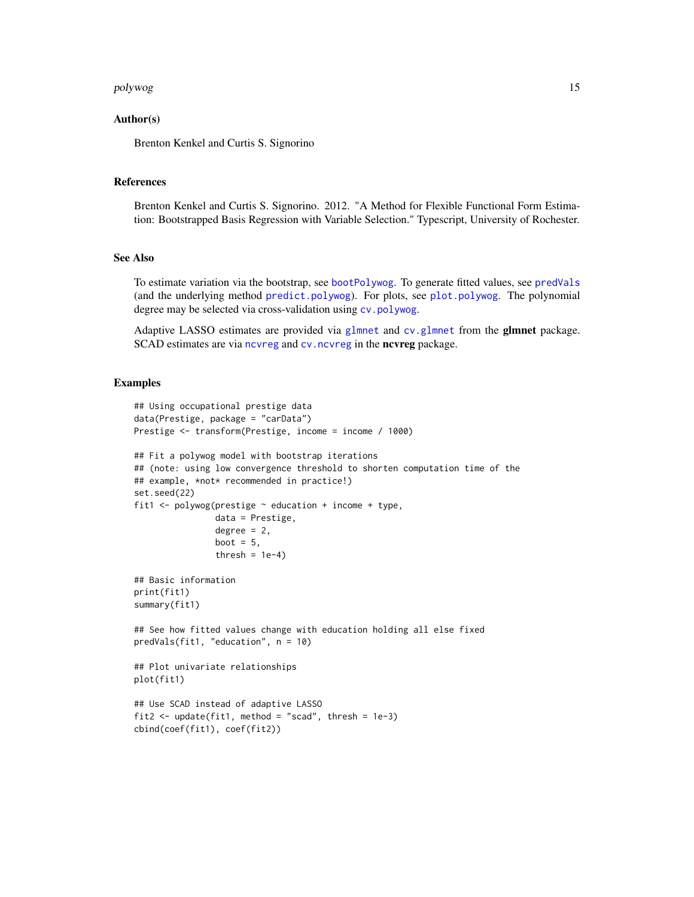#### <span id="page-14-0"></span>polywog the contract of the contract of the contract of the contract of the contract of the contract of the contract of the contract of the contract of the contract of the contract of the contract of the contract of the co

#### Author(s)

Brenton Kenkel and Curtis S. Signorino

#### References

Brenton Kenkel and Curtis S. Signorino. 2012. "A Method for Flexible Functional Form Estimation: Bootstrapped Basis Regression with Variable Selection." Typescript, University of Rochester.

# See Also

To estimate variation via the bootstrap, see [bootPolywog](#page-1-1). To generate fitted values, see [predVals](#page-16-1) (and the underlying method [predict.polywog](#page-15-1)). For plots, see [plot.polywog](#page-9-1). The polynomial degree may be selected via cross-validation using [cv.polywog](#page-3-1).

Adaptive LASSO estimates are provided via [glmnet](#page-0-0) and [cv.glmnet](#page-0-0) from the glmnet package. SCAD estimates are via ncyreg and cv. ncyreg in the ncyreg package.

#### Examples

```
## Using occupational prestige data
data(Prestige, package = "carData")
Prestige <- transform(Prestige, income = income / 1000)
## Fit a polywog model with bootstrap iterations
## (note: using low convergence threshold to shorten computation time of the
## example, *not* recommended in practice!)
set.seed(22)
fit1 <- polywog(prestige \sim education + income + type,
                data = Prestige,
                degree = 2,
                boot = 5,
                thresh = 1e-4)
## Basic information
print(fit1)
summary(fit1)
## See how fitted values change with education holding all else fixed
predVals(fit1, "education", n = 10)
## Plot univariate relationships
plot(fit1)
## Use SCAD instead of adaptive LASSO
fit2 <- update(fit1, method = "scad", thresh = 1e-3)
cbind(coef(fit1), coef(fit2))
```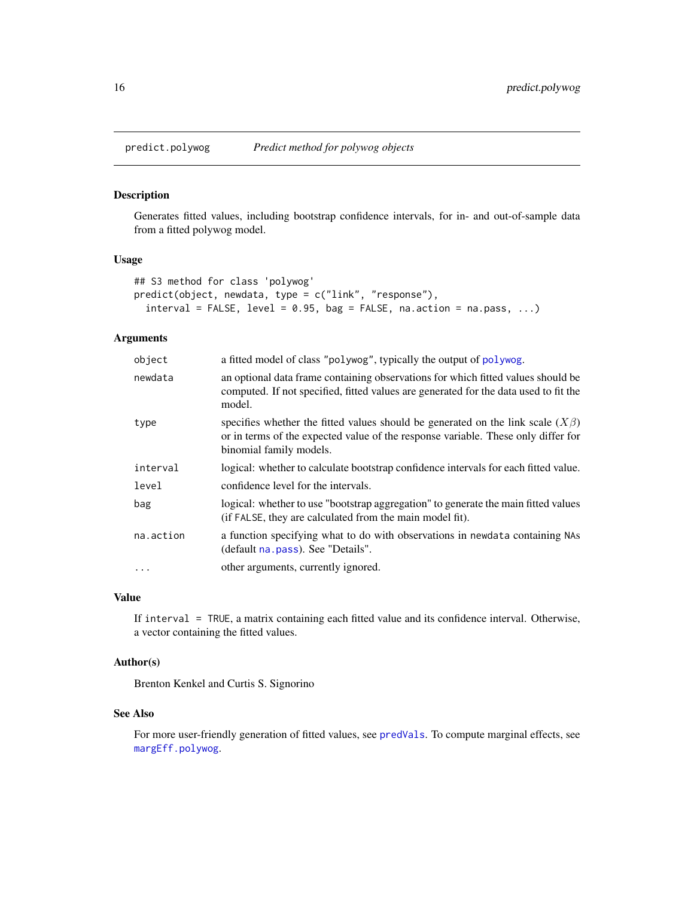<span id="page-15-1"></span><span id="page-15-0"></span>

Generates fitted values, including bootstrap confidence intervals, for in- and out-of-sample data from a fitted polywog model.

#### Usage

```
## S3 method for class 'polywog'
predict(object, newdata, type = c("link", "response"),
  interval = FALSE, level = 0.95, bag = FALSE, na.action = na.pass, ...
```
# Arguments

| object    | a fitted model of class "polywog", typically the output of polywog.                                                                                                                                  |
|-----------|------------------------------------------------------------------------------------------------------------------------------------------------------------------------------------------------------|
| newdata   | an optional data frame containing observations for which fitted values should be<br>computed. If not specified, fitted values are generated for the data used to fit the<br>model.                   |
| type      | specifies whether the fitted values should be generated on the link scale $(X\beta)$<br>or in terms of the expected value of the response variable. These only differ for<br>binomial family models. |
| interval  | logical: whether to calculate bootstrap confidence intervals for each fitted value.                                                                                                                  |
| level     | confidence level for the intervals.                                                                                                                                                                  |
| bag       | logical: whether to use "bootstrap aggregation" to generate the main fitted values<br>(if FALSE, they are calculated from the main model fit).                                                       |
| na.action | a function specifying what to do with observations in newdata containing NAs<br>(default na. pass). See "Details".                                                                                   |
| $\cdot$   | other arguments, currently ignored.                                                                                                                                                                  |

# Value

If interval = TRUE, a matrix containing each fitted value and its confidence interval. Otherwise, a vector containing the fitted values.

#### Author(s)

Brenton Kenkel and Curtis S. Signorino

#### See Also

For more user-friendly generation of fitted values, see [predVals](#page-16-1). To compute marginal effects, see [margEff.polywog](#page-5-1).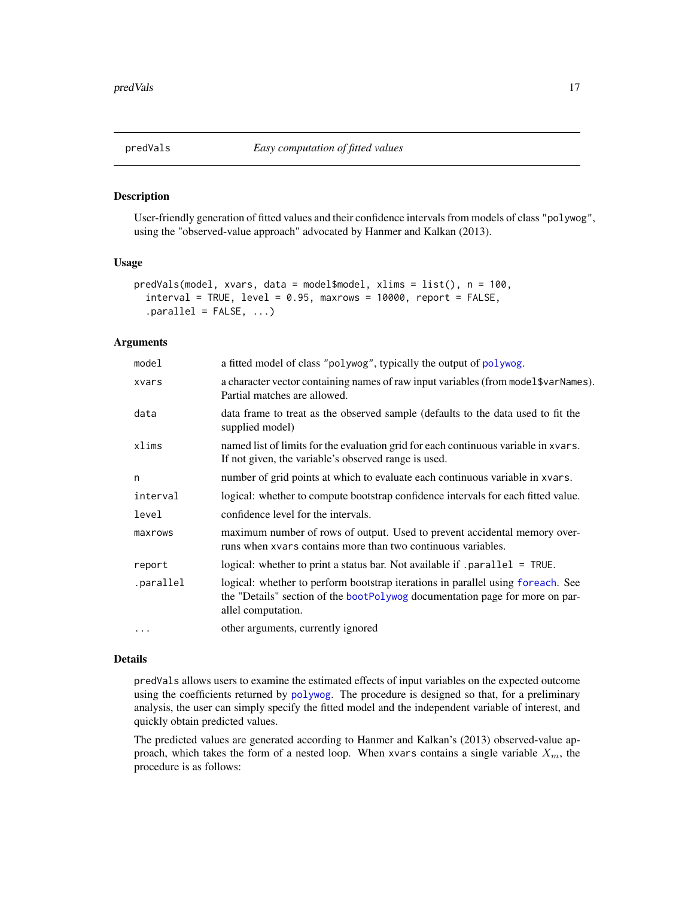<span id="page-16-1"></span><span id="page-16-0"></span>

User-friendly generation of fitted values and their confidence intervals from models of class "polywog", using the "observed-value approach" advocated by Hanmer and Kalkan (2013).

#### Usage

```
predVals(model, xvars, data = model$model, xlims = list(), n = 100,
  interval = TRUE, level = 0.95, maxrows = 10000, report = FALSE,.parallel = FALSE, ...)
```
# Arguments

| model     | a fitted model of class "polywog", typically the output of polywog.                                                                                                                   |  |
|-----------|---------------------------------------------------------------------------------------------------------------------------------------------------------------------------------------|--|
| xvars     | a character vector containing names of raw input variables (from model \$varNames).<br>Partial matches are allowed.                                                                   |  |
| data      | data frame to treat as the observed sample (defaults to the data used to fit the<br>supplied model)                                                                                   |  |
| xlims     | named list of limits for the evaluation grid for each continuous variable in xvars.<br>If not given, the variable's observed range is used.                                           |  |
| n         | number of grid points at which to evaluate each continuous variable in xvars.                                                                                                         |  |
| interval  | logical: whether to compute bootstrap confidence intervals for each fitted value.                                                                                                     |  |
| level     | confidence level for the intervals.                                                                                                                                                   |  |
| maxrows   | maximum number of rows of output. Used to prevent accidental memory over-<br>runs when xvars contains more than two continuous variables.                                             |  |
| report    | logical: whether to print a status bar. Not available if .parallel = TRUE.                                                                                                            |  |
| .parallel | logical: whether to perform bootstrap iterations in parallel using foreach. See<br>the "Details" section of the bootPolywog documentation page for more on par-<br>allel computation. |  |
| $\cdots$  | other arguments, currently ignored                                                                                                                                                    |  |

#### Details

predVals allows users to examine the estimated effects of input variables on the expected outcome using the coefficients returned by [polywog](#page-11-1). The procedure is designed so that, for a preliminary analysis, the user can simply specify the fitted model and the independent variable of interest, and quickly obtain predicted values.

The predicted values are generated according to Hanmer and Kalkan's (2013) observed-value approach, which takes the form of a nested loop. When xvars contains a single variable  $X_m$ , the procedure is as follows: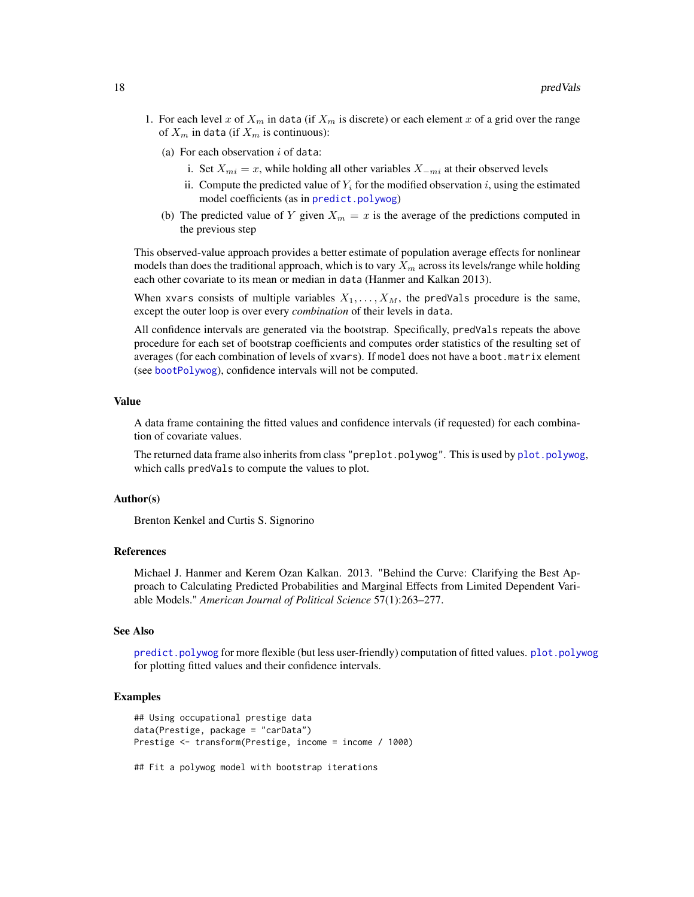- <span id="page-17-0"></span>1. For each level x of  $X_m$  in data (if  $X_m$  is discrete) or each element x of a grid over the range of  $X_m$  in data (if  $X_m$  is continuous):
	- (a) For each observation  $i$  of data:
		- i. Set  $X_{mi} = x$ , while holding all other variables  $X_{-mi}$  at their observed levels
		- ii. Compute the predicted value of  $Y_i$  for the modified observation  $i$ , using the estimated model coefficients (as in [predict.polywog](#page-15-1))
	- (b) The predicted value of Y given  $X_m = x$  is the average of the predictions computed in the previous step

This observed-value approach provides a better estimate of population average effects for nonlinear models than does the traditional approach, which is to vary  $X_m$  across its levels/range while holding each other covariate to its mean or median in data (Hanmer and Kalkan 2013).

When xvars consists of multiple variables  $X_1, \ldots, X_M$ , the predVals procedure is the same, except the outer loop is over every *combination* of their levels in data.

All confidence intervals are generated via the bootstrap. Specifically, predVals repeats the above procedure for each set of bootstrap coefficients and computes order statistics of the resulting set of averages (for each combination of levels of xvars). If model does not have a boot.matrix element (see [bootPolywog](#page-1-1)), confidence intervals will not be computed.

#### Value

A data frame containing the fitted values and confidence intervals (if requested) for each combination of covariate values.

The returned data frame also inherits from class "preplot.polywog". This is used by [plot.polywog](#page-9-1), which calls predVals to compute the values to plot.

#### Author(s)

Brenton Kenkel and Curtis S. Signorino

#### References

Michael J. Hanmer and Kerem Ozan Kalkan. 2013. "Behind the Curve: Clarifying the Best Approach to Calculating Predicted Probabilities and Marginal Effects from Limited Dependent Variable Models." *American Journal of Political Science* 57(1):263–277.

#### See Also

[predict.polywog](#page-15-1) for more flexible (but less user-friendly) computation of fitted values. [plot.polywog](#page-9-1) for plotting fitted values and their confidence intervals.

#### Examples

```
## Using occupational prestige data
data(Prestige, package = "carData")
Prestige <- transform(Prestige, income = income / 1000)
```
## Fit a polywog model with bootstrap iterations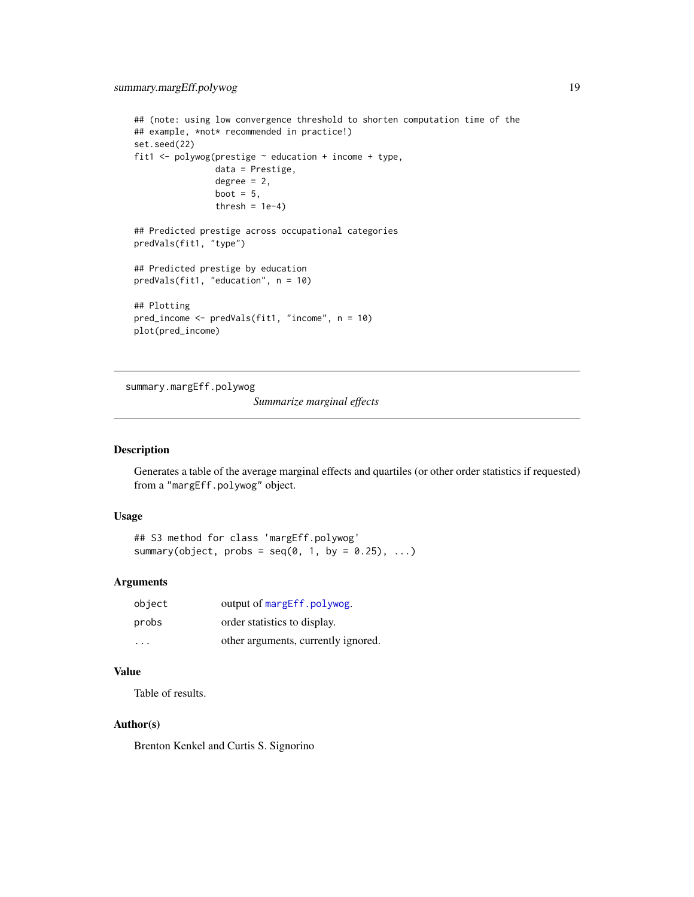```
## (note: using low convergence threshold to shorten computation time of the
## example, *not* recommended in practice!)
set.seed(22)
fit1 <- polywog(prestige \sim education + income + type,
                data = Prestige,
                degree = 2,
                boot = 5,
                thresh = 1e-4)
## Predicted prestige across occupational categories
predVals(fit1, "type")
## Predicted prestige by education
predVals(fit1, "education", n = 10)
## Plotting
pred_income <- predVals(fit1, "income", n = 10)
plot(pred_income)
```
<span id="page-18-1"></span>summary.margEff.polywog

*Summarize marginal effects*

# Description

Generates a table of the average marginal effects and quartiles (or other order statistics if requested) from a "margEff.polywog" object.

#### Usage

```
## S3 method for class 'margEff.polywog'
summary(object, probs = seq(0, 1, by = 0.25), ...)
```
#### Arguments

| object  | output of margEff.polywog.          |
|---------|-------------------------------------|
| probs   | order statistics to display.        |
| $\cdot$ | other arguments, currently ignored. |

# Value

Table of results.

# Author(s)

Brenton Kenkel and Curtis S. Signorino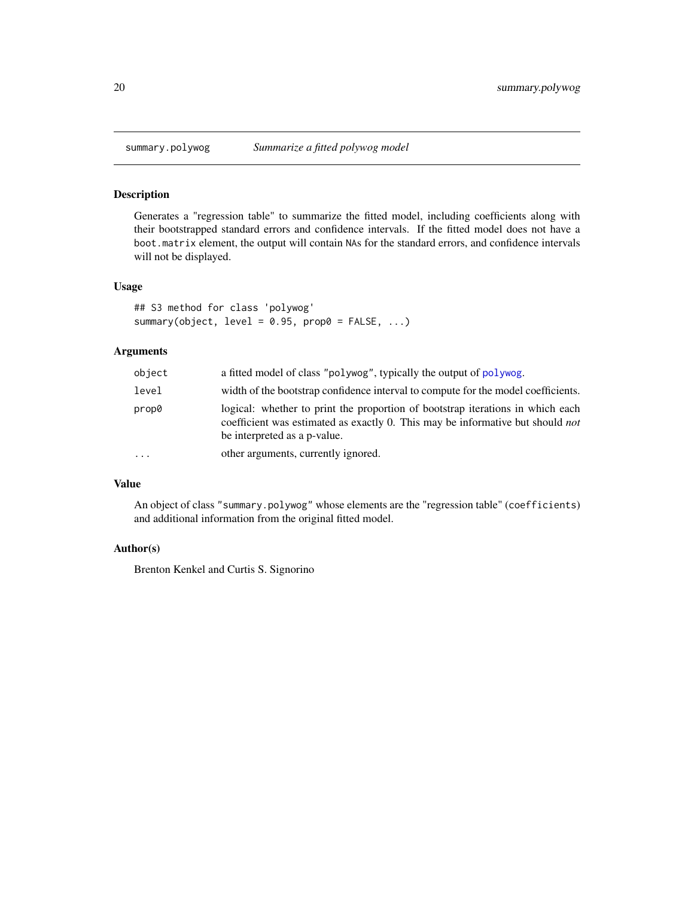<span id="page-19-0"></span>

Generates a "regression table" to summarize the fitted model, including coefficients along with their bootstrapped standard errors and confidence intervals. If the fitted model does not have a boot.matrix element, the output will contain NAs for the standard errors, and confidence intervals will not be displayed.

# Usage

```
## S3 method for class 'polywog'
summary(object, level = 0.95, prop0 = FALSE, ...)
```
# Arguments

| object   | a fitted model of class "polywog", typically the output of polywog.                                                                                                                                     |
|----------|---------------------------------------------------------------------------------------------------------------------------------------------------------------------------------------------------------|
| level    | width of the bootstrap confidence interval to compute for the model coefficients.                                                                                                                       |
| prop0    | logical: whether to print the proportion of bootstrap iterations in which each<br>coefficient was estimated as exactly 0. This may be informative but should <i>not</i><br>be interpreted as a p-value. |
| $\cdots$ | other arguments, currently ignored.                                                                                                                                                                     |

#### Value

An object of class "summary.polywog" whose elements are the "regression table" (coefficients) and additional information from the original fitted model.

# Author(s)

Brenton Kenkel and Curtis S. Signorino